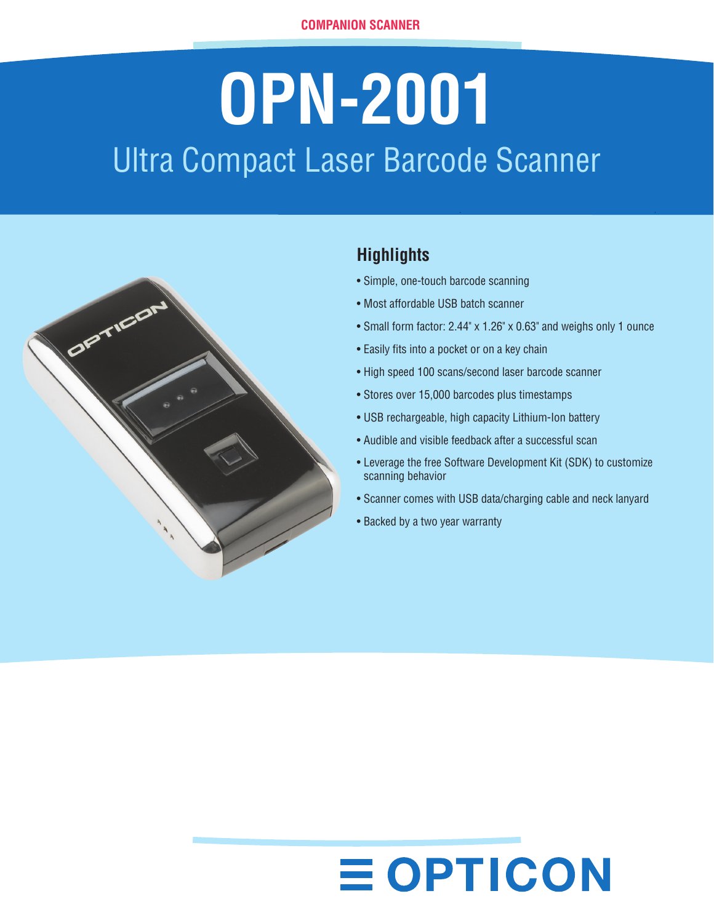# **OPN-2001** Ultra Compact Laser Barcode Scanner



### **Highlights**

- Simple, one-touch barcode scanning
- Most affordable USB batch scanner
- Small form factor: 2.44" x 1.26" x 0.63" and weighs only 1 ounce
- Easily fits into a pocket or on a key chain
- High speed 100 scans/second laser barcode scanner
- Stores over 15,000 barcodes plus timestamps
- USB rechargeable, high capacity Lithium-Ion battery
- Audible and visible feedback after a successful scan
- Leverage the free Software Development Kit (SDK) to customize scanning behavior
- Scanner comes with USB data/charging cable and neck lanyard
- Backed by a two year warranty